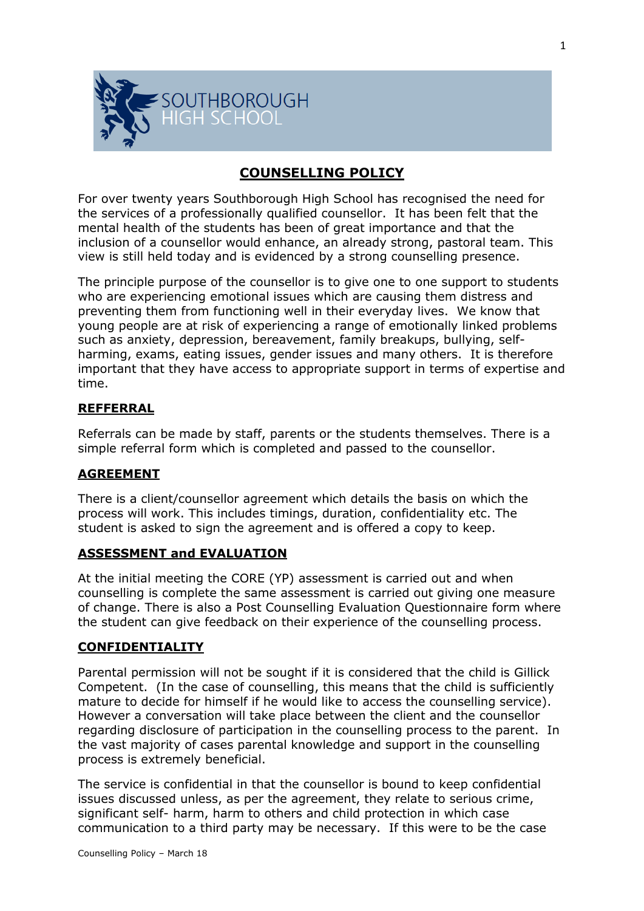

# **COUNSELLING POLICY**

For over twenty years Southborough High School has recognised the need for the services of a professionally qualified counsellor. It has been felt that the mental health of the students has been of great importance and that the inclusion of a counsellor would enhance, an already strong, pastoral team. This view is still held today and is evidenced by a strong counselling presence.

The principle purpose of the counsellor is to give one to one support to students who are experiencing emotional issues which are causing them distress and preventing them from functioning well in their everyday lives. We know that young people are at risk of experiencing a range of emotionally linked problems such as anxiety, depression, bereavement, family breakups, bullying, selfharming, exams, eating issues, gender issues and many others. It is therefore important that they have access to appropriate support in terms of expertise and time.

# **REFFERRAL**

Referrals can be made by staff, parents or the students themselves. There is a simple referral form which is completed and passed to the counsellor.

### **AGREEMENT**

There is a client/counsellor agreement which details the basis on which the process will work. This includes timings, duration, confidentiality etc. The student is asked to sign the agreement and is offered a copy to keep.

### **ASSESSMENT and EVALUATION**

At the initial meeting the CORE (YP) assessment is carried out and when counselling is complete the same assessment is carried out giving one measure of change. There is also a Post Counselling Evaluation Questionnaire form where the student can give feedback on their experience of the counselling process.

#### **CONFIDENTIALITY**

Parental permission will not be sought if it is considered that the child is Gillick Competent. (In the case of counselling, this means that the child is sufficiently mature to decide for himself if he would like to access the counselling service). However a conversation will take place between the client and the counsellor regarding disclosure of participation in the counselling process to the parent. In the vast majority of cases parental knowledge and support in the counselling process is extremely beneficial.

The service is confidential in that the counsellor is bound to keep confidential issues discussed unless, as per the agreement, they relate to serious crime, significant self- harm, harm to others and child protection in which case communication to a third party may be necessary. If this were to be the case